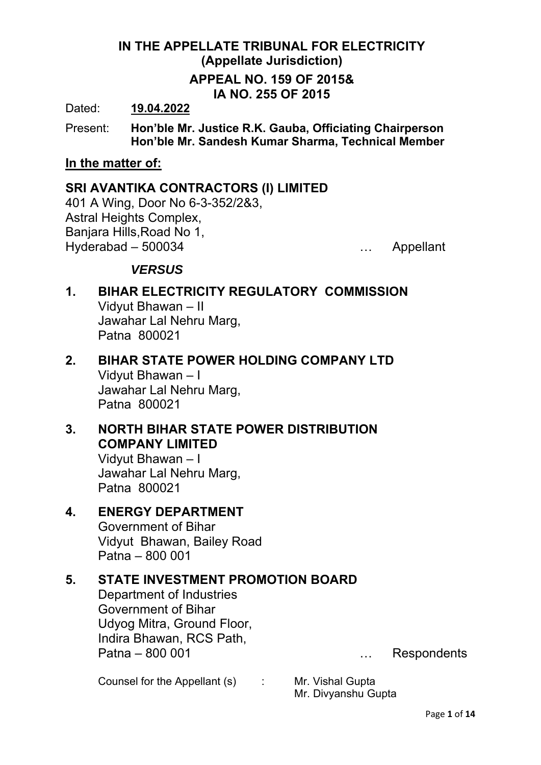# **IN THE APPELLATE TRIBUNAL FOR ELECTRICITY (Appellate Jurisdiction) APPEAL NO. 159 OF 2015& IA NO. 255 OF 2015**

Dated: **19.04.2022**

Present: **Hon'ble Mr. Justice R.K. Gauba, Officiating Chairperson Hon'ble Mr. Sandesh Kumar Sharma, Technical Member** 

#### **In the matter of:**

### **SRI AVANTIKA CONTRACTORS (I) LIMITED**

401 A Wing, Door No 6-3-352/2&3, Astral Heights Complex, Banjara Hills,Road No 1, Hyderabad – 500034 … Appellant

## *VERSUS*

- **1. BIHAR ELECTRICITY REGULATORY COMMISSION**  Vidyut Bhawan – II Jawahar Lal Nehru Marg, Patna 800021
- **2. BIHAR STATE POWER HOLDING COMPANY LTD**  Vidyut Bhawan – I Jawahar Lal Nehru Marg, Patna 800021
- **3. NORTH BIHAR STATE POWER DISTRIBUTION COMPANY LIMITED**

 Vidyut Bhawan – I Jawahar Lal Nehru Marg, Patna 800021

## **4. ENERGY DEPARTMENT**

Government of Bihar Vidyut Bhawan, Bailey Road Patna – 800 001

## **5. STATE INVESTMENT PROMOTION BOARD**

Department of Industries Government of Bihar Udyog Mitra, Ground Floor, Indira Bhawan, RCS Path, Patna – 800 001 metal was also contact the contract of the Respondents

Counsel for the Appellant (s) : Mr. Vishal Gupta

Mr. Divyanshu Gupta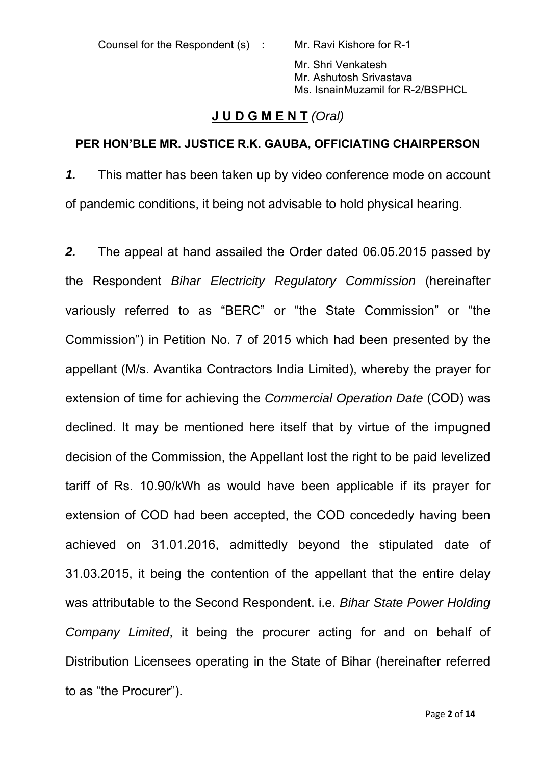Counsel for the Respondent (s) : Mr. Ravi Kishore for R-1

Mr. Shri Venkatesh Mr. Ashutosh Srivastava Ms. IsnainMuzamil for R-2/BSPHCL

## **J U D G M E N T** *(Oral)*

#### **PER HON'BLE MR. JUSTICE R.K. GAUBA, OFFICIATING CHAIRPERSON**

*1.* This matter has been taken up by video conference mode on account of pandemic conditions, it being not advisable to hold physical hearing.

*2.* The appeal at hand assailed the Order dated 06.05.2015 passed by the Respondent *Bihar Electricity Regulatory Commission* (hereinafter variously referred to as "BERC" or "the State Commission" or "the Commission") in Petition No. 7 of 2015 which had been presented by the appellant (M/s. Avantika Contractors India Limited), whereby the prayer for extension of time for achieving the *Commercial Operation Date* (COD) was declined. It may be mentioned here itself that by virtue of the impugned decision of the Commission, the Appellant lost the right to be paid levelized tariff of Rs. 10.90/kWh as would have been applicable if its prayer for extension of COD had been accepted, the COD concededly having been achieved on 31.01.2016, admittedly beyond the stipulated date of 31.03.2015, it being the contention of the appellant that the entire delay was attributable to the Second Respondent. i.e. *Bihar State Power Holding Company Limited*, it being the procurer acting for and on behalf of Distribution Licensees operating in the State of Bihar (hereinafter referred to as "the Procurer").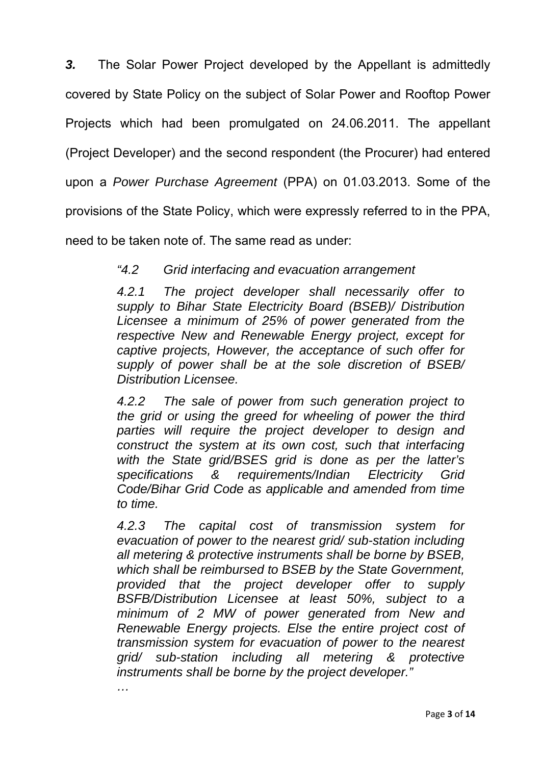*3.* The Solar Power Project developed by the Appellant is admittedly covered by State Policy on the subject of Solar Power and Rooftop Power Projects which had been promulgated on 24.06.2011. The appellant (Project Developer) and the second respondent (the Procurer) had entered upon a *Power Purchase Agreement* (PPA) on 01.03.2013. Some of the provisions of the State Policy, which were expressly referred to in the PPA, need to be taken note of. The same read as under:

# *"4.2 Grid interfacing and evacuation arrangement*

*4.2.1 The project developer shall necessarily offer to supply to Bihar State Electricity Board (BSEB)/ Distribution Licensee a minimum of 25% of power generated from the respective New and Renewable Energy project, except for captive projects, However, the acceptance of such offer for supply of power shall be at the sole discretion of BSEB/ Distribution Licensee.* 

*4.2.2 The sale of power from such generation project to the grid or using the greed for wheeling of power the third parties will require the project developer to design and construct the system at its own cost, such that interfacing with the State grid/BSES grid is done as per the latter's specifications & requirements/Indian Electricity Grid Code/Bihar Grid Code as applicable and amended from time to time.* 

*4.2.3 The capital cost of transmission system for evacuation of power to the nearest grid/ sub-station including all metering & protective instruments shall be borne by BSEB, which shall be reimbursed to BSEB by the State Government, provided that the project developer offer to supply BSFB/Distribution Licensee at least 50%, subject to a minimum of 2 MW of power generated from New and Renewable Energy projects. Else the entire project cost of transmission system for evacuation of power to the nearest grid/ sub-station including all metering & protective instruments shall be borne by the project developer."*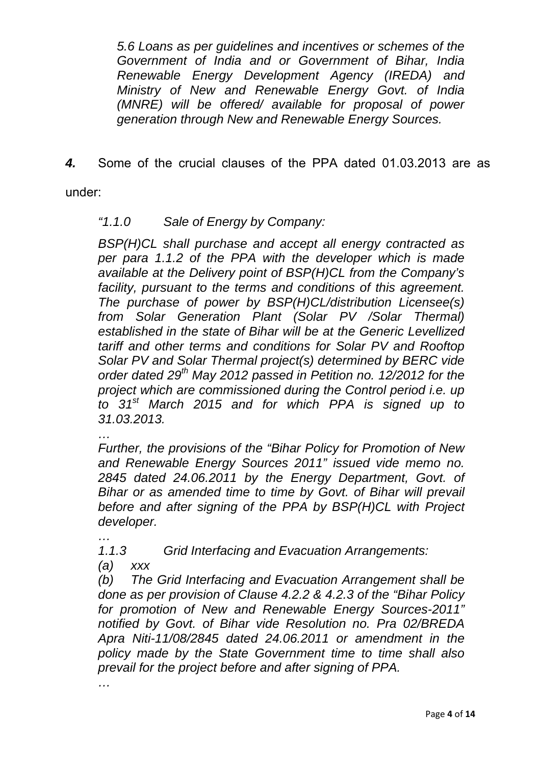*5.6 Loans as per guidelines and incentives or schemes of the Government of India and or Government of Bihar, India Renewable Energy Development Agency (IREDA) and Ministry of New and Renewable Energy Govt. of India (MNRE) will be offered/ available for proposal of power generation through New and Renewable Energy Sources.* 

*4.* Some of the crucial clauses of the PPA dated 01.03.2013 are as

under:

### *"1.1.0 Sale of Energy by Company:*

*BSP(H)CL shall purchase and accept all energy contracted as per para 1.1.2 of the PPA with the developer which is made available at the Delivery point of BSP(H)CL from the Company's facility, pursuant to the terms and conditions of this agreement. The purchase of power by BSP(H)CL/distribution Licensee(s) from Solar Generation Plant (Solar PV /Solar Thermal) established in the state of Bihar will be at the Generic Levellized tariff and other terms and conditions for Solar PV and Rooftop Solar PV and Solar Thermal project(s) determined by BERC vide order dated 29th May 2012 passed in Petition no. 12/2012 for the project which are commissioned during the Control period i.e. up to 31st March 2015 and for which PPA is signed up to 31.03.2013.* 

*…* 

*…* 

*Further, the provisions of the "Bihar Policy for Promotion of New and Renewable Energy Sources 2011" issued vide memo no. 2845 dated 24.06.2011 by the Energy Department, Govt. of Bihar or as amended time to time by Govt. of Bihar will prevail before and after signing of the PPA by BSP(H)CL with Project developer.* 

*1.1.3 Grid Interfacing and Evacuation Arrangements:* 

*(a) xxx* 

*(b) The Grid Interfacing and Evacuation Arrangement shall be done as per provision of Clause 4.2.2 & 4.2.3 of the "Bihar Policy for promotion of New and Renewable Energy Sources-2011" notified by Govt. of Bihar vide Resolution no. Pra 02/BREDA Apra Niti-11/08/2845 dated 24.06.2011 or amendment in the policy made by the State Government time to time shall also prevail for the project before and after signing of PPA.* 

*…*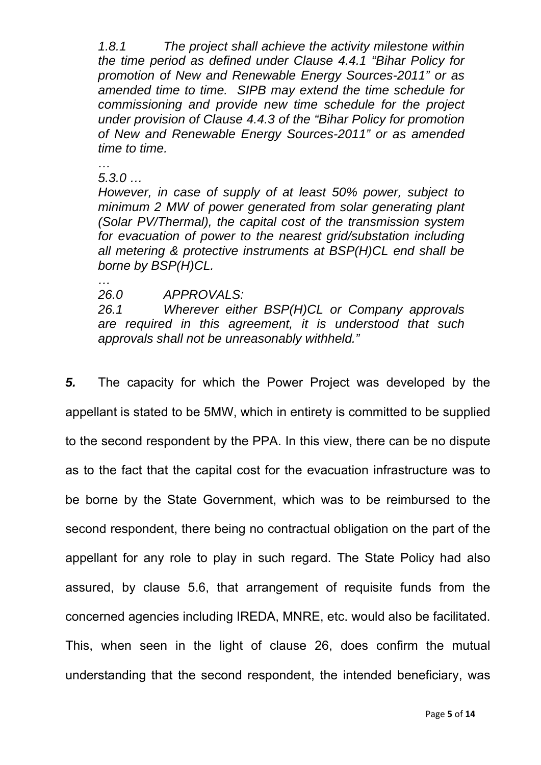*1.8.1 The project shall achieve the activity milestone within the time period as defined under Clause 4.4.1 "Bihar Policy for promotion of New and Renewable Energy Sources-2011" or as amended time to time. SIPB may extend the time schedule for commissioning and provide new time schedule for the project under provision of Clause 4.4.3 of the "Bihar Policy for promotion of New and Renewable Energy Sources-2011" or as amended time to time.* 

*… 5.3.0 …* 

*However, in case of supply of at least 50% power, subject to minimum 2 MW of power generated from solar generating plant (Solar PV/Thermal), the capital cost of the transmission system for evacuation of power to the nearest grid/substation including all metering & protective instruments at BSP(H)CL end shall be borne by BSP(H)CL.* 

 *… 26.0 APPROVALS:* 

*26.1 Wherever either BSP(H)CL or Company approvals are required in this agreement, it is understood that such approvals shall not be unreasonably withheld."*

*5.* The capacity for which the Power Project was developed by the appellant is stated to be 5MW, which in entirety is committed to be supplied to the second respondent by the PPA. In this view, there can be no dispute as to the fact that the capital cost for the evacuation infrastructure was to be borne by the State Government, which was to be reimbursed to the second respondent, there being no contractual obligation on the part of the appellant for any role to play in such regard. The State Policy had also assured, by clause 5.6, that arrangement of requisite funds from the concerned agencies including IREDA, MNRE, etc. would also be facilitated. This, when seen in the light of clause 26, does confirm the mutual understanding that the second respondent, the intended beneficiary, was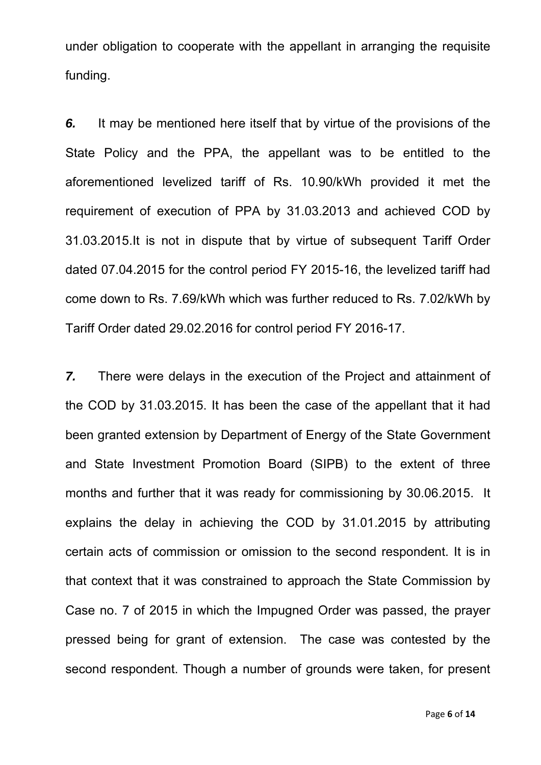under obligation to cooperate with the appellant in arranging the requisite funding.

*6.* It may be mentioned here itself that by virtue of the provisions of the State Policy and the PPA, the appellant was to be entitled to the aforementioned levelized tariff of Rs. 10.90/kWh provided it met the requirement of execution of PPA by 31.03.2013 and achieved COD by 31.03.2015.It is not in dispute that by virtue of subsequent Tariff Order dated 07.04.2015 for the control period FY 2015-16, the levelized tariff had come down to Rs. 7.69/kWh which was further reduced to Rs. 7.02/kWh by Tariff Order dated 29.02.2016 for control period FY 2016-17.

*7.* There were delays in the execution of the Project and attainment of the COD by 31.03.2015. It has been the case of the appellant that it had been granted extension by Department of Energy of the State Government and State Investment Promotion Board (SIPB) to the extent of three months and further that it was ready for commissioning by 30.06.2015. It explains the delay in achieving the COD by 31.01.2015 by attributing certain acts of commission or omission to the second respondent. It is in that context that it was constrained to approach the State Commission by Case no. 7 of 2015 in which the Impugned Order was passed, the prayer pressed being for grant of extension. The case was contested by the second respondent. Though a number of grounds were taken, for present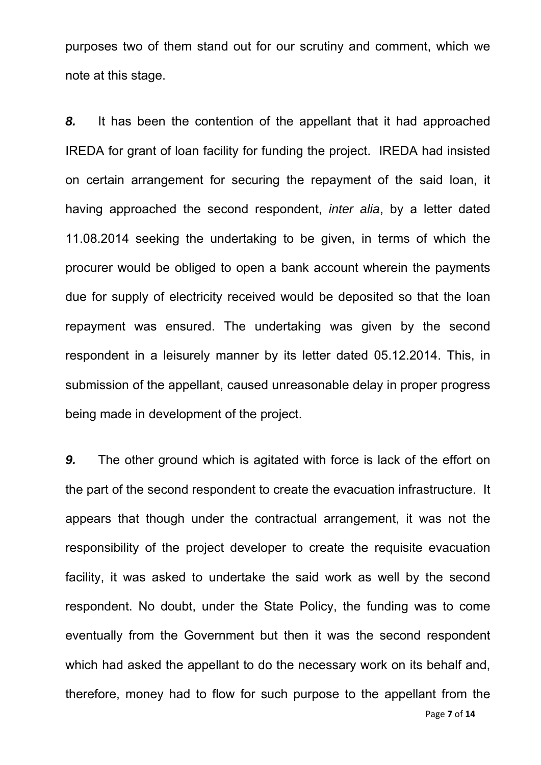purposes two of them stand out for our scrutiny and comment, which we note at this stage.

*8.* It has been the contention of the appellant that it had approached IREDA for grant of loan facility for funding the project. IREDA had insisted on certain arrangement for securing the repayment of the said loan, it having approached the second respondent, *inter alia*, by a letter dated 11.08.2014 seeking the undertaking to be given, in terms of which the procurer would be obliged to open a bank account wherein the payments due for supply of electricity received would be deposited so that the loan repayment was ensured. The undertaking was given by the second respondent in a leisurely manner by its letter dated 05.12.2014. This, in submission of the appellant, caused unreasonable delay in proper progress being made in development of the project.

*9.* The other ground which is agitated with force is lack of the effort on the part of the second respondent to create the evacuation infrastructure. It appears that though under the contractual arrangement, it was not the responsibility of the project developer to create the requisite evacuation facility, it was asked to undertake the said work as well by the second respondent. No doubt, under the State Policy, the funding was to come eventually from the Government but then it was the second respondent which had asked the appellant to do the necessary work on its behalf and. therefore, money had to flow for such purpose to the appellant from the

Page **7** of **14**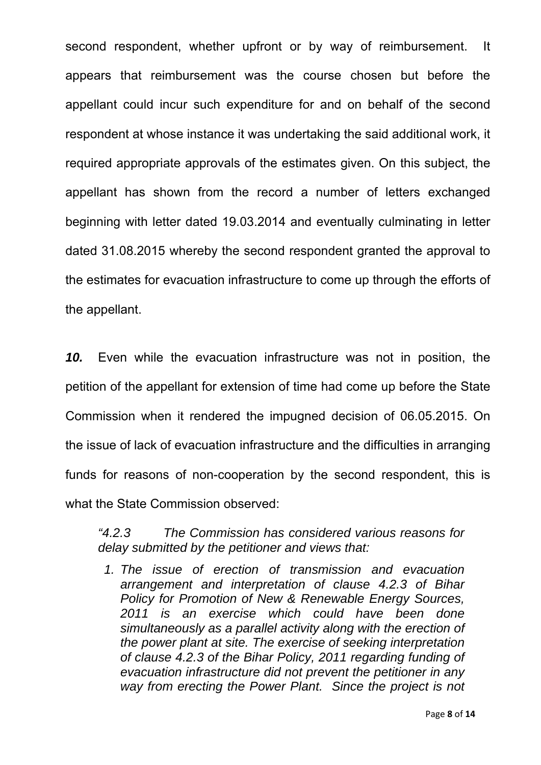second respondent, whether upfront or by way of reimbursement. It appears that reimbursement was the course chosen but before the appellant could incur such expenditure for and on behalf of the second respondent at whose instance it was undertaking the said additional work, it required appropriate approvals of the estimates given. On this subject, the appellant has shown from the record a number of letters exchanged beginning with letter dated 19.03.2014 and eventually culminating in letter dated 31.08.2015 whereby the second respondent granted the approval to the estimates for evacuation infrastructure to come up through the efforts of the appellant.

*10.* Even while the evacuation infrastructure was not in position, the petition of the appellant for extension of time had come up before the State Commission when it rendered the impugned decision of 06.05.2015. On the issue of lack of evacuation infrastructure and the difficulties in arranging funds for reasons of non-cooperation by the second respondent, this is what the State Commission observed:

*"4.2.3 The Commission has considered various reasons for delay submitted by the petitioner and views that:* 

*1. The issue of erection of transmission and evacuation arrangement and interpretation of clause 4.2.3 of Bihar Policy for Promotion of New & Renewable Energy Sources, 2011 is an exercise which could have been done simultaneously as a parallel activity along with the erection of the power plant at site. The exercise of seeking interpretation of clause 4.2.3 of the Bihar Policy, 2011 regarding funding of evacuation infrastructure did not prevent the petitioner in any way from erecting the Power Plant. Since the project is not*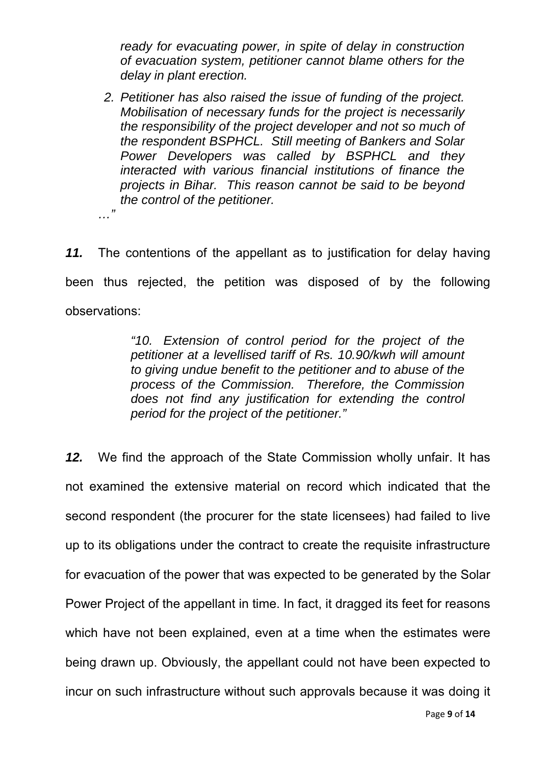*ready for evacuating power, in spite of delay in construction of evacuation system, petitioner cannot blame others for the delay in plant erection.* 

*2. Petitioner has also raised the issue of funding of the project. Mobilisation of necessary funds for the project is necessarily the responsibility of the project developer and not so much of the respondent BSPHCL. Still meeting of Bankers and Solar Power Developers was called by BSPHCL and they interacted with various financial institutions of finance the projects in Bihar. This reason cannot be said to be beyond the control of the petitioner.* 

*…"* 

*11.* The contentions of the appellant as to justification for delay having been thus rejected, the petition was disposed of by the following observations:

> *"10. Extension of control period for the project of the petitioner at a levellised tariff of Rs. 10.90/kwh will amount to giving undue benefit to the petitioner and to abuse of the process of the Commission. Therefore, the Commission does not find any justification for extending the control period for the project of the petitioner."*

*12.* We find the approach of the State Commission wholly unfair. It has not examined the extensive material on record which indicated that the second respondent (the procurer for the state licensees) had failed to live up to its obligations under the contract to create the requisite infrastructure for evacuation of the power that was expected to be generated by the Solar Power Project of the appellant in time. In fact, it dragged its feet for reasons which have not been explained, even at a time when the estimates were being drawn up. Obviously, the appellant could not have been expected to incur on such infrastructure without such approvals because it was doing it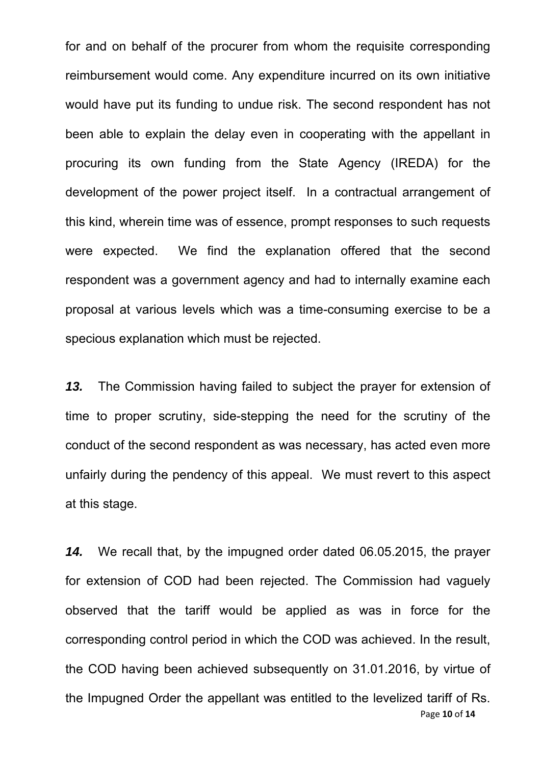for and on behalf of the procurer from whom the requisite corresponding reimbursement would come. Any expenditure incurred on its own initiative would have put its funding to undue risk. The second respondent has not been able to explain the delay even in cooperating with the appellant in procuring its own funding from the State Agency (IREDA) for the development of the power project itself. In a contractual arrangement of this kind, wherein time was of essence, prompt responses to such requests were expected. We find the explanation offered that the second respondent was a government agency and had to internally examine each proposal at various levels which was a time-consuming exercise to be a specious explanation which must be rejected.

*13.* The Commission having failed to subject the prayer for extension of time to proper scrutiny, side-stepping the need for the scrutiny of the conduct of the second respondent as was necessary, has acted even more unfairly during the pendency of this appeal. We must revert to this aspect at this stage.

Page **10** of **14** *14.* We recall that, by the impugned order dated 06.05.2015, the prayer for extension of COD had been rejected. The Commission had vaguely observed that the tariff would be applied as was in force for the corresponding control period in which the COD was achieved. In the result, the COD having been achieved subsequently on 31.01.2016, by virtue of the Impugned Order the appellant was entitled to the levelized tariff of Rs.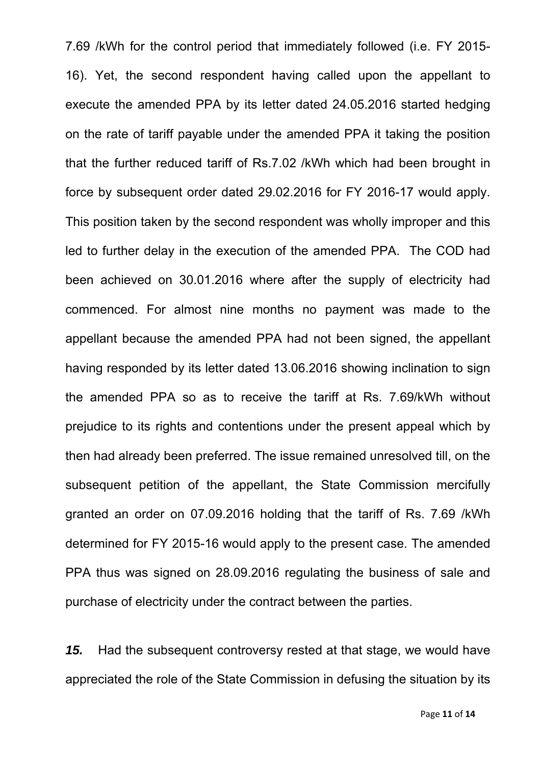7.69 /kWh for the control period that immediately followed (i.e. FY 2015- 16). Yet, the second respondent having called upon the appellant to execute the amended PPA by its letter dated 24.05.2016 started hedging on the rate of tariff payable under the amended PPA it taking the position that the further reduced tariff of Rs.7.02 /kWh which had been brought in force by subsequent order dated 29.02.2016 for FY 2016-17 would apply. This position taken by the second respondent was wholly improper and this led to further delay in the execution of the amended PPA. The COD had been achieved on 30.01.2016 where after the supply of electricity had commenced. For almost nine months no payment was made to the appellant because the amended PPA had not been signed, the appellant having responded by its letter dated 13.06.2016 showing inclination to sign the amended PPA so as to receive the tariff at Rs. 7.69/kWh without prejudice to its rights and contentions under the present appeal which by then had already been preferred. The issue remained unresolved till, on the subsequent petition of the appellant, the State Commission mercifully granted an order on 07.09.2016 holding that the tariff of Rs. 7.69 /kWh determined for FY 2015-16 would apply to the present case. The amended PPA thus was signed on 28.09.2016 regulating the business of sale and purchase of electricity under the contract between the parties.

*15.* Had the subsequent controversy rested at that stage, we would have appreciated the role of the State Commission in defusing the situation by its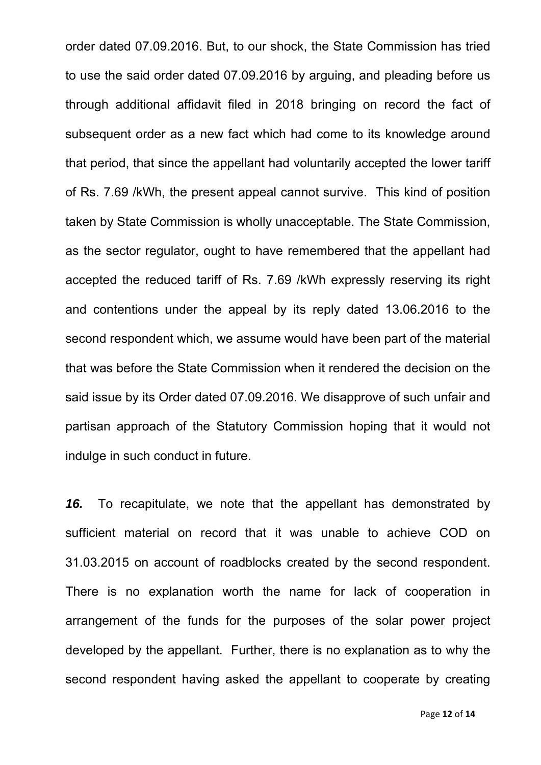order dated 07.09.2016. But, to our shock, the State Commission has tried to use the said order dated 07.09.2016 by arguing, and pleading before us through additional affidavit filed in 2018 bringing on record the fact of subsequent order as a new fact which had come to its knowledge around that period, that since the appellant had voluntarily accepted the lower tariff of Rs. 7.69 /kWh, the present appeal cannot survive. This kind of position taken by State Commission is wholly unacceptable. The State Commission, as the sector regulator, ought to have remembered that the appellant had accepted the reduced tariff of Rs. 7.69 /kWh expressly reserving its right and contentions under the appeal by its reply dated 13.06.2016 to the second respondent which, we assume would have been part of the material that was before the State Commission when it rendered the decision on the said issue by its Order dated 07.09.2016. We disapprove of such unfair and partisan approach of the Statutory Commission hoping that it would not indulge in such conduct in future.

*16.* To recapitulate, we note that the appellant has demonstrated by sufficient material on record that it was unable to achieve COD on 31.03.2015 on account of roadblocks created by the second respondent. There is no explanation worth the name for lack of cooperation in arrangement of the funds for the purposes of the solar power project developed by the appellant. Further, there is no explanation as to why the second respondent having asked the appellant to cooperate by creating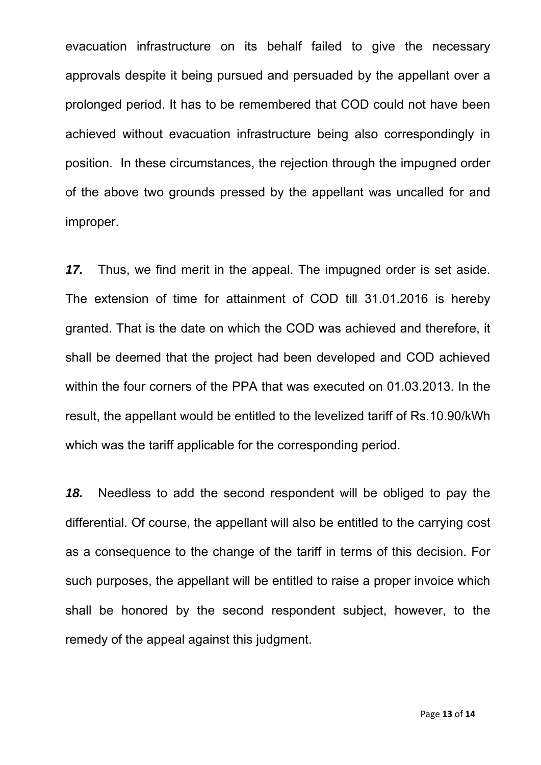evacuation infrastructure on its behalf failed to give the necessary approvals despite it being pursued and persuaded by the appellant over a prolonged period. It has to be remembered that COD could not have been achieved without evacuation infrastructure being also correspondingly in position. In these circumstances, the rejection through the impugned order of the above two grounds pressed by the appellant was uncalled for and improper.

*17.* Thus, we find merit in the appeal. The impugned order is set aside. The extension of time for attainment of COD till 31.01.2016 is hereby granted. That is the date on which the COD was achieved and therefore, it shall be deemed that the project had been developed and COD achieved within the four corners of the PPA that was executed on 01.03.2013. In the result, the appellant would be entitled to the levelized tariff of Rs.10.90/kWh which was the tariff applicable for the corresponding period.

*18.* Needless to add the second respondent will be obliged to pay the differential. Of course, the appellant will also be entitled to the carrying cost as a consequence to the change of the tariff in terms of this decision. For such purposes, the appellant will be entitled to raise a proper invoice which shall be honored by the second respondent subject, however, to the remedy of the appeal against this judgment.